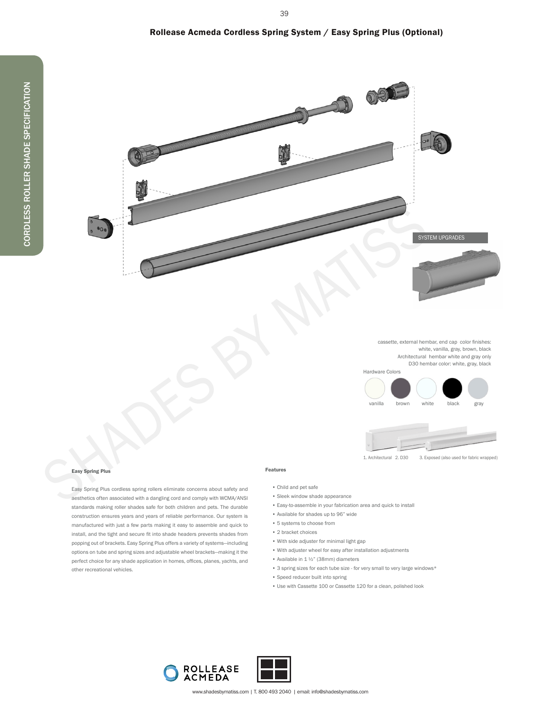## Rollease Acmeda Cordless Spring System / Easy Spring Plus (Optional)

39



cassette, external hembar, end cap color finishes: white, vanilla, gray, brown, black Architectural hembar white and gray only D30 hembar color: white, gray, black





#### Easy Spring Plus

Easy Spring Plus cordless spring rollers eliminate concerns about safety and aesthetics often associated with a dangling cord and comply with WCMA/ANSI standards making roller shades safe for both children and pets. The durable construction ensures years and years of reliable performance. Our system is manufactured with just a few parts making it easy to assemble and quick to install, and the tight and secure fit into shade headers prevents shades from popping out of brackets. Easy Spring Plus offers a variety of systems—including options on tube and spring sizes and adjustable wheel brackets—making it the perfect choice for any shade application in homes, offices, planes, yachts, and other recreational vehicles.

### Features

- Child and pet safe
- Sleek window shade appearance
- Easy-to-assemble in your fabrication area and quick to install
- Available for shades up to 96" wide
- 5 systems to choose from
- 2 bracket choices
- With side adjuster for minimal light gap
- With adjuster wheel for easy after installation adjustments
- Available in 1 ½" (38mm) diameters
	- 3 spring sizes for each tube size for very small to very large windows\*
	- Speed reducer built into spring
	- Use with Cassette 100 or Cassette 120 for a clean, polished look